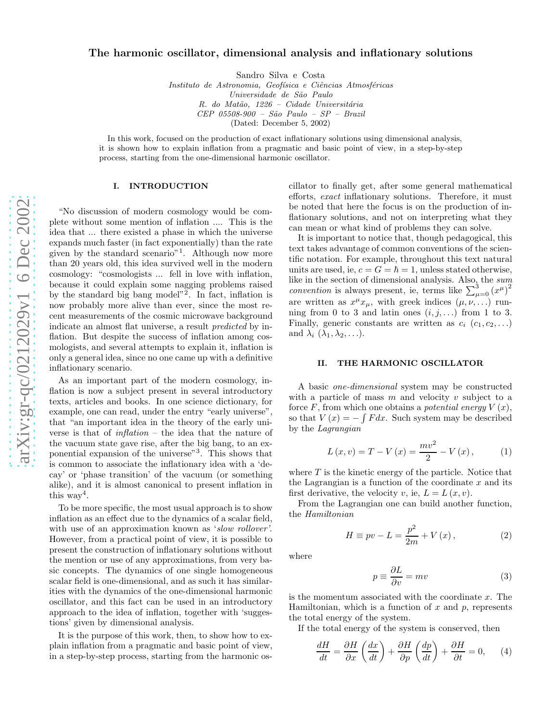# The harmonic oscillator, dimensional analysis and inflationary solutions

Sandro Silva e Costa

Instituto de Astronomia, Geofísica e Ciências Atmosféricas Universidade de São Paulo  $R.$  do Matão, 1226 – Cidade Universitária CEP 05508-900 – S˜ao Paulo – SP – Brazil (Dated: December 5, 2002)

In this work, focused on the production of exact inflationary solutions using dimensional analysis, it is shown how to explain inflation from a pragmatic and basic point of view, in a step-by-step process, starting from the one-dimensional harmonic oscillator.

### I. INTRODUCTION

"No discussion of modern cosmology would be complete without some mention of inflation .... This is the idea that ... there existed a phase in which the universe expands much faster (in fact exponentially) than the rate given by the standard scenario" 1 . Although now more than 20 years old, this idea survived well in the modern cosmology: "cosmologists ... fell in love with inflation, because it could explain some nagging problems raised by the standard big bang model" 2 . In fact, inflation is now probably more alive than ever, since the most recent measurements of the cosmic microwave background indicate an almost flat universe, a result *predicted* by inflation. But despite the success of inflation among cosmologists, and several attempts to explain it, inflation is only a general idea, since no one came up with a definitive inflationary scenario.

As an important part of the modern cosmology, inflation is now a subject present in several introductory texts, articles and books. In one science dictionary, for example, one can read, under the entry "early universe", that "an important idea in the theory of the early universe is that of inflation – the idea that the nature of the vacuum state gave rise, after the big bang, to an exponential expansion of the universe"<sup>3</sup> . This shows that is common to associate the inflationary idea with a 'decay' or 'phase transition' of the vacuum (or something alike), and it is almost canonical to present inflation in this way<sup>4</sup>.

To be more specific, the most usual approach is to show inflation as an effect due to the dynamics of a scalar field, with use of an approximation known as 'slow rollover'. However, from a practical point of view, it is possible to present the construction of inflationary solutions without the mention or use of any approximations, from very basic concepts. The dynamics of one single homogeneous scalar field is one-dimensional, and as such it has similarities with the dynamics of the one-dimensional harmonic oscillator, and this fact can be used in an introductory approach to the idea of inflation, together with 'suggestions' given by dimensional analysis.

It is the purpose of this work, then, to show how to explain inflation from a pragmatic and basic point of view, in a step-by-step process, starting from the harmonic oscillator to finally get, after some general mathematical efforts, exact inflationary solutions. Therefore, it must be noted that here the focus is on the production of inflationary solutions, and not on interpreting what they can mean or what kind of problems they can solve.

It is important to notice that, though pedagogical, this text takes advantage of common conventions of the scientific notation. For example, throughout this text natural units are used, ie,  $c = G = \hbar = 1$ , unless stated otherwise, like in the section of dimensional analysis. Also, the  $sum_3$ *convention* is always present, ie, terms like  $\sum_{n=1}^{3}$  $_{\mu=0}^{3}(x^{\mu})^{2}$ are written as  $x^{\mu}x_{\mu}$ , with greek indices  $(\mu, \nu, ...)$  running from 0 to 3 and latin ones  $(i, j, \ldots)$  from 1 to 3. Finally, generic constants are written as  $c_i$   $(c_1, c_2, \ldots)$ and  $\lambda_i$  ( $\lambda_1, \lambda_2, \ldots$ ).

### II. THE HARMONIC OSCILLATOR

A basic one-dimensional system may be constructed with a particle of mass  $m$  and velocity  $v$  subject to a force  $F$ , from which one obtains a *potential energy*  $V(x)$ , so that  $V(x) = -\int F dx$ . Such system may be described by the Lagrangian

$$
L(x, v) = T - V(x) = \frac{mv^{2}}{2} - V(x),
$$
 (1)

where  $T$  is the kinetic energy of the particle. Notice that the Lagrangian is a function of the coordinate  $x$  and its first derivative, the velocity v, ie,  $L = L(x, v)$ .

From the Lagrangian one can build another function, the Hamiltonian

$$
H \equiv pv - L = \frac{p^2}{2m} + V(x), \qquad (2)
$$

where

$$
p \equiv \frac{\partial L}{\partial v} = mv \tag{3}
$$

is the momentum associated with the coordinate  $x$ . The Hamiltonian, which is a function of  $x$  and  $p$ , represents the total energy of the system.

If the total energy of the system is conserved, then

$$
\frac{dH}{dt} = \frac{\partial H}{\partial x} \left( \frac{dx}{dt} \right) + \frac{\partial H}{\partial p} \left( \frac{dp}{dt} \right) + \frac{\partial H}{\partial t} = 0, \quad (4)
$$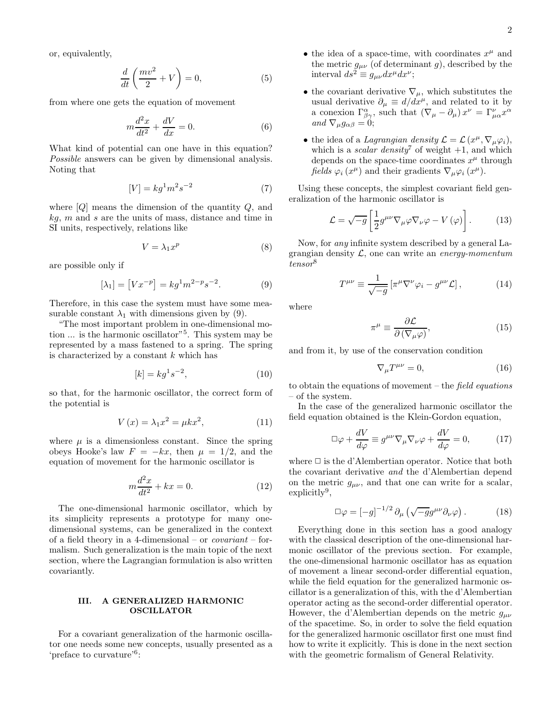$$
\frac{d}{dt}\left(\frac{mv^2}{2} + V\right) = 0,\t\t(5)
$$

from where one gets the equation of movement

$$
m\frac{d^2x}{dt^2} + \frac{dV}{dx} = 0.\t\t(6)
$$

What kind of potential can one have in this equation? Possible answers can be given by dimensional analysis. Noting that

$$
[V] = kg^{1}m^{2}s^{-2}
$$
 (7)

where  $[Q]$  means the dimension of the quantity  $Q$ , and  $kg, m$  and s are the units of mass, distance and time in SI units, respectively, relations like

$$
V = \lambda_1 x^p \tag{8}
$$

are possible only if

$$
[\lambda_1] = [Vx^{-p}] = kg^1 m^{2-p} s^{-2}.
$$
 (9)

Therefore, in this case the system must have some measurable constant  $\lambda_1$  with dimensions given by (9).

"The most important problem in one-dimensional motion ... is the harmonic oscillator"<sup>5</sup> . This system may be represented by a mass fastened to a spring. The spring is characterized by a constant  $k$  which has

$$
[k] = kg^1 s^{-2}, \t\t(10)
$$

so that, for the harmonic oscillator, the correct form of the potential is

$$
V(x) = \lambda_1 x^2 = \mu k x^2, \qquad (11)
$$

where  $\mu$  is a dimensionless constant. Since the spring obeys Hooke's law  $F = -kx$ , then  $\mu = 1/2$ , and the equation of movement for the harmonic oscillator is

$$
m\frac{d^2x}{dt^2} + kx = 0.
$$
 (12)

The one-dimensional harmonic oscillator, which by its simplicity represents a prototype for many onedimensional systems, can be generalized in the context of a field theory in a 4-dimensional – or *covariant* – formalism. Such generalization is the main topic of the next section, where the Lagrangian formulation is also written covariantly.

### III. A GENERALIZED HARMONIC OSCILLATOR

For a covariant generalization of the harmonic oscillator one needs some new concepts, usually presented as a 'preface to curvature'<sup>6</sup>:

- the covariant derivative  $\nabla_{\mu}$ , which substitutes the usual derivative  $\partial_{\mu} \equiv d/dx^{\mu}$ , and related to it by a conexion  $\Gamma^{\alpha}_{\beta\gamma}$ , such that  $(\nabla_{\mu} - \partial_{\mu}) x^{\nu} = \Gamma^{\nu}_{\mu\alpha} x^{\alpha}$ and  $\nabla_{\mu}g_{\alpha\beta}=0;$
- the idea of a Lagrangian density  $\mathcal{L} = \mathcal{L}(x^{\mu}, \nabla_{\mu} \varphi_i),$ which is a *scalar density*<sup>7</sup> of weight  $+1$ , and which depends on the space-time coordinates  $x^{\mu}$  through fields  $\varphi_i(x^{\mu})$  and their gradients  $\nabla_{\mu}\varphi_i(x^{\mu})$ .

Using these concepts, the simplest covariant field generalization of the harmonic oscillator is

$$
\mathcal{L} = \sqrt{-g} \left[ \frac{1}{2} g^{\mu \nu} \nabla_{\mu} \varphi \nabla_{\nu} \varphi - V (\varphi) \right]. \tag{13}
$$

Now, for any infinite system described by a general Lagrangian density  $\mathcal{L}$ , one can write an energy-momentum tensor<sup>8</sup>

$$
T^{\mu\nu} \equiv \frac{1}{\sqrt{-g}} \left[ \pi^{\mu} \nabla^{\nu} \varphi_i - g^{\mu\nu} \mathcal{L} \right], \tag{14}
$$

where

$$
\pi^{\mu} \equiv \frac{\partial \mathcal{L}}{\partial \left(\nabla_{\mu} \varphi\right)},\tag{15}
$$

and from it, by use of the conservation condition

$$
\nabla_{\mu}T^{\mu\nu} = 0,\tag{16}
$$

to obtain the equations of movement – the field equations – of the system.

In the case of the generalized harmonic oscillator the field equation obtained is the Klein-Gordon equation,

$$
\Box \varphi + \frac{dV}{d\varphi} \equiv g^{\mu\nu} \nabla_{\mu} \nabla_{\nu} \varphi + \frac{dV}{d\varphi} = 0, \qquad (17)
$$

where  $\Box$  is the d'Alembertian operator. Notice that both the covariant derivative and the d'Alembertian depend on the metric  $g_{\mu\nu}$ , and that one can write for a scalar, explicitly<sup>9</sup> ,

$$
\Box \varphi = \left[ -g \right]^{-1/2} \partial_{\mu} \left( \sqrt{-g} g^{\mu \nu} \partial_{\nu} \varphi \right). \tag{18}
$$

Everything done in this section has a good analogy with the classical description of the one-dimensional harmonic oscillator of the previous section. For example, the one-dimensional harmonic oscillator has as equation of movement a linear second-order differential equation, while the field equation for the generalized harmonic oscillator is a generalization of this, with the d'Alembertian operator acting as the second-order differential operator. However, the d'Alembertian depends on the metric  $g_{\mu\nu}$ of the spacetime. So, in order to solve the field equation for the generalized harmonic oscillator first one must find how to write it explicitly. This is done in the next section with the geometric formalism of General Relativity.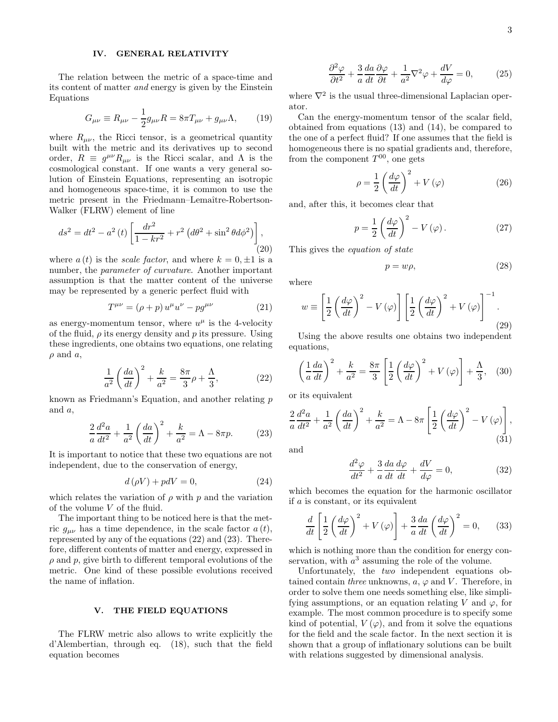### IV. GENERAL RELATIVITY

The relation between the metric of a space-time and its content of matter and energy is given by the Einstein Equations

$$
G_{\mu\nu} \equiv R_{\mu\nu} - \frac{1}{2}g_{\mu\nu}R = 8\pi T_{\mu\nu} + g_{\mu\nu}\Lambda, \qquad (19)
$$

where  $R_{\mu\nu}$ , the Ricci tensor, is a geometrical quantity built with the metric and its derivatives up to second order,  $R \equiv g^{\mu\nu} R_{\mu\nu}$  is the Ricci scalar, and  $\Lambda$  is the cosmological constant. If one wants a very general solution of Einstein Equations, representing an isotropic and homogeneous space-time, it is common to use the metric present in the Friedmann–Lemaître-Robertson-Walker (FLRW) element of line

$$
ds^{2} = dt^{2} - a^{2}(t) \left[ \frac{dr^{2}}{1 - kr^{2}} + r^{2} (d\theta^{2} + \sin^{2} \theta d\phi^{2}) \right],
$$
\n(20)

where  $a(t)$  is the *scale factor*, and where  $k = 0, \pm 1$  is a number, the parameter of curvature. Another important assumption is that the matter content of the universe may be represented by a generic perfect fluid with

$$
T^{\mu\nu} = (\rho + p) u^{\mu} u^{\nu} - p g^{\mu\nu} \tag{21}
$$

as energy-momentum tensor, where  $u^{\mu}$  is the 4-velocity of the fluid,  $\rho$  its energy density and p its pressure. Using these ingredients, one obtains two equations, one relating  $\rho$  and  $a$ ,

$$
\frac{1}{a^2} \left( \frac{da}{dt} \right)^2 + \frac{k}{a^2} = \frac{8\pi}{3} \rho + \frac{\Lambda}{3},
$$
 (22)

known as Friedmann's Equation, and another relating p and a,

$$
\frac{2}{a}\frac{d^2a}{dt^2} + \frac{1}{a^2}\left(\frac{da}{dt}\right)^2 + \frac{k}{a^2} = \Lambda - 8\pi p.
$$
 (23)

It is important to notice that these two equations are not independent, due to the conservation of energy,

$$
d(\rho V) + pdV = 0,\t(24)
$$

which relates the variation of  $\rho$  with p and the variation of the volume V of the fluid.

The important thing to be noticed here is that the metric  $g_{\mu\nu}$  has a time dependence, in the scale factor  $a(t)$ , represented by any of the equations (22) and (23). Therefore, different contents of matter and energy, expressed in  $\rho$  and  $p$ , give birth to different temporal evolutions of the metric. One kind of these possible evolutions received the name of inflation.

#### V. THE FIELD EQUATIONS

The FLRW metric also allows to write explicitly the d'Alembertian, through eq. (18), such that the field equation becomes

$$
\frac{\partial^2 \varphi}{\partial t^2} + \frac{3}{a} \frac{da}{dt} \frac{\partial \varphi}{\partial t} + \frac{1}{a^2} \nabla^2 \varphi + \frac{dV}{d\varphi} = 0, \qquad (25)
$$

where  $\nabla^2$  is the usual three-dimensional Laplacian operator.

Can the energy-momentum tensor of the scalar field, obtained from equations (13) and (14), be compared to the one of a perfect fluid? If one assumes that the field is homogeneous there is no spatial gradients and, therefore, from the component  $T^{00}$ , one gets

$$
\rho = \frac{1}{2} \left( \frac{d\varphi}{dt} \right)^2 + V(\varphi) \tag{26}
$$

and, after this, it becomes clear that

$$
p = \frac{1}{2} \left( \frac{d\varphi}{dt} \right)^2 - V(\varphi). \tag{27}
$$

This gives the equation of state

$$
p = w\rho,\tag{28}
$$

where

$$
w \equiv \left[\frac{1}{2}\left(\frac{d\varphi}{dt}\right)^2 - V(\varphi)\right] \left[\frac{1}{2}\left(\frac{d\varphi}{dt}\right)^2 + V(\varphi)\right]^{-1}.
$$
\n(29)

Using the above results one obtains two independent equations,

$$
\left(\frac{1}{a}\frac{da}{dt}\right)^2 + \frac{k}{a^2} = \frac{8\pi}{3} \left[\frac{1}{2}\left(\frac{d\varphi}{dt}\right)^2 + V(\varphi)\right] + \frac{\Lambda}{3}, \quad (30)
$$

or its equivalent

$$
\frac{2}{a}\frac{d^2a}{dt^2} + \frac{1}{a^2}\left(\frac{da}{dt}\right)^2 + \frac{k}{a^2} = \Lambda - 8\pi \left[\frac{1}{2}\left(\frac{d\varphi}{dt}\right)^2 - V(\varphi)\right],\tag{31}
$$

and

$$
\frac{d^2\varphi}{dt^2} + \frac{3}{a}\frac{da}{dt}\frac{d\varphi}{dt} + \frac{dV}{d\varphi} = 0,
$$
\n(32)

which becomes the equation for the harmonic oscillator if a is constant, or its equivalent

$$
\frac{d}{dt}\left[\frac{1}{2}\left(\frac{d\varphi}{dt}\right)^2 + V\left(\varphi\right)\right] + \frac{3}{a}\frac{da}{dt}\left(\frac{d\varphi}{dt}\right)^2 = 0,\qquad(33)
$$

which is nothing more than the condition for energy conservation, with  $a^3$  assuming the role of the volume.

Unfortunately, the two independent equations obtained contain three unknowns,  $a, \varphi$  and V. Therefore, in order to solve them one needs something else, like simplifying assumptions, or an equation relating V and  $\varphi$ , for example. The most common procedure is to specify some kind of potential,  $V(\varphi)$ , and from it solve the equations for the field and the scale factor. In the next section it is shown that a group of inflationary solutions can be built with relations suggested by dimensional analysis.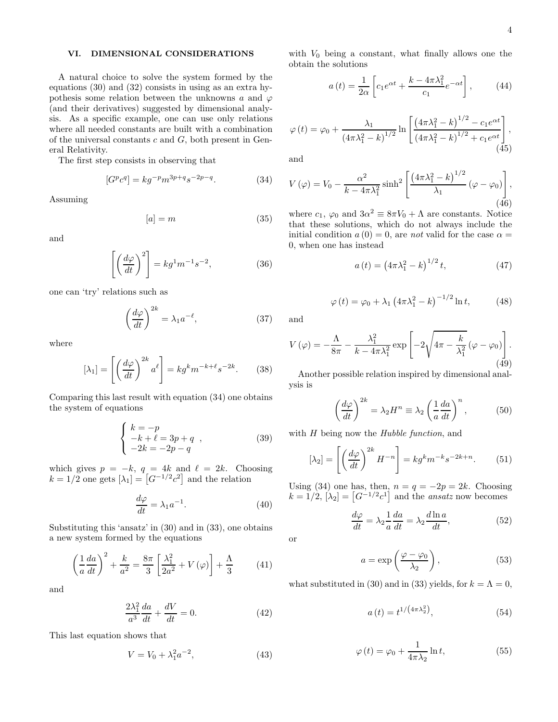## VI. DIMENSIONAL CONSIDERATIONS

A natural choice to solve the system formed by the equations (30) and (32) consists in using as an extra hypothesis some relation between the unknowns a and  $\varphi$ (and their derivatives) suggested by dimensional analysis. As a specific example, one can use only relations where all needed constants are built with a combination of the universal constants  $c$  and  $G$ , both present in General Relativity.

The first step consists in observing that

$$
[G^p c^q] = k g^{-p} m^{3p+q} s^{-2p-q}.
$$
 (34)

Assuming

$$
[a] = m \tag{35}
$$

and

$$
\left[ \left( \frac{d\varphi}{dt} \right)^2 \right] = kg^1 m^{-1} s^{-2}, \tag{36}
$$

one can 'try' relations such as

$$
\left(\frac{d\varphi}{dt}\right)^{2k} = \lambda_1 a^{-\ell},\tag{37}
$$

where

$$
[\lambda_1] = \left[ \left( \frac{d\varphi}{dt} \right)^{2k} a^{\ell} \right] = kg^k m^{-k+\ell} s^{-2k}.
$$
 (38)

Comparing this last result with equation (34) one obtains the system of equations

$$
\begin{cases}\nk = -p \\
-k + \ell = 3p + q \\
-2k = -2p - q\n\end{cases}
$$
\n(39)

which gives  $p = -k$ ,  $q = 4k$  and  $\ell = 2k$ . Choosing  $k = 1/2$  one gets  $[\lambda_1] = [G^{-1/2}c^2]$  and the relation

$$
\frac{d\varphi}{dt} = \lambda_1 a^{-1}.\tag{40}
$$

Substituting this 'ansatz' in (30) and in (33), one obtains a new system formed by the equations

$$
\left(\frac{1}{a}\frac{da}{dt}\right)^2 + \frac{k}{a^2} = \frac{8\pi}{3} \left[\frac{\lambda_1^2}{2a^2} + V(\varphi)\right] + \frac{\Lambda}{3}
$$
 (41)

and

$$
\frac{2\lambda_1^2}{a^3}\frac{da}{dt} + \frac{dV}{dt} = 0.
$$
 (42)

This last equation shows that

$$
V = V_0 + \lambda_1^2 a^{-2}, \tag{43}
$$

with  $V_0$  being a constant, what finally allows one the obtain the solutions

$$
a(t) = \frac{1}{2\alpha} \left[ c_1 e^{\alpha t} + \frac{k - 4\pi\lambda_1^2}{c_1} e^{-\alpha t} \right],\tag{44}
$$

$$
\varphi(t) = \varphi_0 + \frac{\lambda_1}{\left(4\pi\lambda_1^2 - k\right)^{1/2}} \ln\left[\frac{\left(4\pi\lambda_1^2 - k\right)^{1/2} - c_1 e^{\alpha t}}{\left(4\pi\lambda_1^2 - k\right)^{1/2} + c_1 e^{\alpha t}}\right],\tag{45}
$$

and

$$
V(\varphi) = V_0 - \frac{\alpha^2}{k - 4\pi\lambda_1^2} \sinh^2 \left[ \frac{\left(4\pi\lambda_1^2 - k\right)^{1/2}}{\lambda_1} \left(\varphi - \varphi_0\right) \right],\tag{46}
$$

where  $c_1$ ,  $\varphi_0$  and  $3\alpha^2 \equiv 8\pi V_0 + \Lambda$  are constants. Notice that these solutions, which do not always include the initial condition  $a(0) = 0$ , are not valid for the case  $\alpha =$ 0, when one has instead

$$
a(t) = (4\pi\lambda_1^2 - k)^{1/2} t, \qquad (47)
$$

$$
\varphi(t) = \varphi_0 + \lambda_1 \left(4\pi\lambda_1^2 - k\right)^{-1/2} \ln t,\tag{48}
$$

and

$$
V(\varphi) = -\frac{\Lambda}{8\pi} - \frac{\lambda_1^2}{k - 4\pi\lambda_1^2} \exp\left[-2\sqrt{4\pi - \frac{k}{\lambda_1^2}}(\varphi - \varphi_0)\right].
$$
\n(49)

Another possible relation inspired by dimensional analysis is

$$
\left(\frac{d\varphi}{dt}\right)^{2k} = \lambda_2 H^n \equiv \lambda_2 \left(\frac{1}{a}\frac{da}{dt}\right)^n, \qquad (50)
$$

with  $H$  being now the Hubble function, and

$$
[\lambda_2] = \left[ \left( \frac{d\varphi}{dt} \right)^{2k} H^{-n} \right] = kg^k m^{-k} s^{-2k+n}.
$$
 (51)

Using (34) one has, then,  $n = q = -2p = 2k$ . Choosing  $k = 1/2$ ,  $[\lambda_2] = [G^{-1/2}c^1]$  and the *ansatz* now becomes

$$
\frac{d\varphi}{dt} = \lambda_2 \frac{1}{a} \frac{da}{dt} = \lambda_2 \frac{d \ln a}{dt},\tag{52}
$$

or

$$
a = \exp\left(\frac{\varphi - \varphi_0}{\lambda_2}\right),\tag{53}
$$

what substituted in (30) and in (33) yields, for  $k = \Lambda = 0$ ,

$$
a(t) = t^{1/(4\pi\lambda_2^2)},
$$
\n(54)

$$
\varphi(t) = \varphi_0 + \frac{1}{4\pi\lambda_2} \ln t,\tag{55}
$$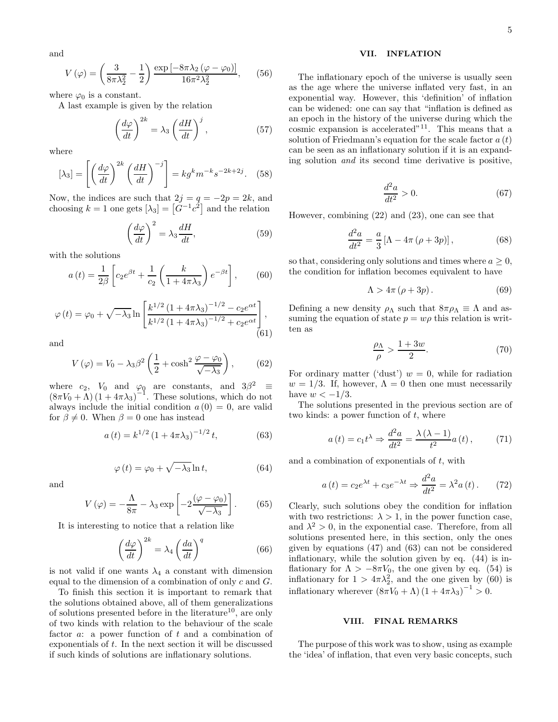and

$$
V(\varphi) = \left(\frac{3}{8\pi\lambda_2^2} - \frac{1}{2}\right) \frac{\exp\left[-8\pi\lambda_2\left(\varphi - \varphi_0\right)\right]}{16\pi^2\lambda_2^2},\qquad(56)
$$

where  $\varphi_0$  is a constant.

A last example is given by the relation

$$
\left(\frac{d\varphi}{dt}\right)^{2k} = \lambda_3 \left(\frac{dH}{dt}\right)^j,\tag{57}
$$

where

$$
[\lambda_3] = \left[ \left( \frac{d\varphi}{dt} \right)^{2k} \left( \frac{dH}{dt} \right)^{-j} \right] = kg^k m^{-k} s^{-2k+2j}.
$$
 (58)

Now, the indices are such that  $2j = q = -2p = 2k$ , and choosing  $k = 1$  one gets  $[\lambda_3] = [\tilde{G}^{-1} c^2]$  and the relation

$$
\left(\frac{d\varphi}{dt}\right)^2 = \lambda_3 \frac{dH}{dt},\tag{59}
$$

with the solutions

$$
a(t) = \frac{1}{2\beta} \left[ c_2 e^{\beta t} + \frac{1}{c_2} \left( \frac{k}{1 + 4\pi\lambda_3} \right) e^{-\beta t} \right],\qquad(60)
$$

$$
\varphi(t) = \varphi_0 + \sqrt{-\lambda_3} \ln \left[ \frac{k^{1/2} (1 + 4\pi\lambda_3)^{-1/2} - c_2 e^{\alpha t}}{k^{1/2} (1 + 4\pi\lambda_3)^{-1/2} + c_2 e^{\alpha t}} \right],
$$
\n(61)

and

$$
V(\varphi) = V_0 - \lambda_3 \beta^2 \left( \frac{1}{2} + \cosh^2 \frac{\varphi - \varphi_0}{\sqrt{-\lambda_3}} \right), \quad (62)
$$

where  $c_2$ ,  $V_0$  and  $\varphi_0$  are constants, and  $3\beta^2 \equiv$  $(8\pi V_0 + \Lambda) (1 + 4\pi \lambda_3)^{-1}$ . These solutions, which do not always include the initial condition  $a(0) = 0$ , are valid for  $\beta \neq 0$ . When  $\beta = 0$  one has instead

$$
a(t) = k^{1/2} (1 + 4\pi\lambda_3)^{-1/2} t, \qquad (63)
$$

$$
\varphi(t) = \varphi_0 + \sqrt{-\lambda_3} \ln t,\tag{64}
$$

and

$$
V(\varphi) = -\frac{\Lambda}{8\pi} - \lambda_3 \exp\left[-2\frac{(\varphi - \varphi_0)}{\sqrt{-\lambda_3}}\right].
$$
 (65)

It is interesting to notice that a relation like

$$
\left(\frac{d\varphi}{dt}\right)^{2k} = \lambda_4 \left(\frac{da}{dt}\right)^q \tag{66}
$$

is not valid if one wants  $\lambda_4$  a constant with dimension equal to the dimension of a combination of only  $c$  and  $G$ .

To finish this section it is important to remark that the solutions obtained above, all of them generalizations of solutions presented before in the literature<sup>10</sup>, are only of two kinds with relation to the behaviour of the scale factor  $a$ : a power function of  $t$  and a combination of exponentials of t. In the next section it will be discussed if such kinds of solutions are inflationary solutions.

#### VII. INFLATION

The inflationary epoch of the universe is usually seen as the age where the universe inflated very fast, in an exponential way. However, this 'definition' of inflation can be widened: one can say that "inflation is defined as an epoch in the history of the universe during which the cosmic expansion is accelerated"<sup>11</sup>. This means that a solution of Friedmann's equation for the scale factor  $a(t)$ can be seen as an inflationary solution if it is an expanding solution and its second time derivative is positive,

$$
\frac{d^2a}{dt^2} > 0.\t\t(67)
$$

However, combining (22) and (23), one can see that

$$
\frac{d^2a}{dt^2} = \frac{a}{3} \left[ \Lambda - 4\pi \left( \rho + 3p \right) \right],\tag{68}
$$

so that, considering only solutions and times where  $a \geq 0$ , the condition for inflation becomes equivalent to have

$$
\Lambda > 4\pi \left( \rho + 3p \right). \tag{69}
$$

Defining a new density  $\rho_{\Lambda}$  such that  $8\pi\rho_{\Lambda} \equiv \Lambda$  and assuming the equation of state  $p = w\rho$  this relation is written as

$$
\frac{\rho_{\Lambda}}{\rho} > \frac{1+3w}{2}.
$$
\n(70)

For ordinary matter ('dust')  $w = 0$ , while for radiation  $w = 1/3$ . If, however,  $\Lambda = 0$  then one must necessarily have  $w < -1/3$ .

The solutions presented in the previous section are of two kinds: a power function of  $t$ , where

$$
a(t) = c_1 t^{\lambda} \Rightarrow \frac{d^2 a}{dt^2} = \frac{\lambda (\lambda - 1)}{t^2} a(t) , \qquad (71)
$$

and a combination of exponentials of  $t$ , with

$$
a(t) = c_2 e^{\lambda t} + c_3 e^{-\lambda t} \Rightarrow \frac{d^2 a}{dt^2} = \lambda^2 a(t).
$$
 (72)

Clearly, such solutions obey the condition for inflation with two restrictions:  $\lambda > 1$ , in the power function case, and  $\lambda^2 > 0$ , in the exponential case. Therefore, from all solutions presented here, in this section, only the ones given by equations (47) and (63) can not be considered inflationary, while the solution given by eq. (44) is inflationary for  $\Lambda > -8\pi V_0$ , the one given by eq. (54) is inflationary for  $1 > 4\pi\lambda_2^2$ , and the one given by (60) is inflationary wherever  $(8\pi V_0 + \Lambda) (1 + 4\pi\lambda_3)^{-1} > 0$ .

### VIII. FINAL REMARKS

The purpose of this work was to show, using as example the 'idea' of inflation, that even very basic concepts, such